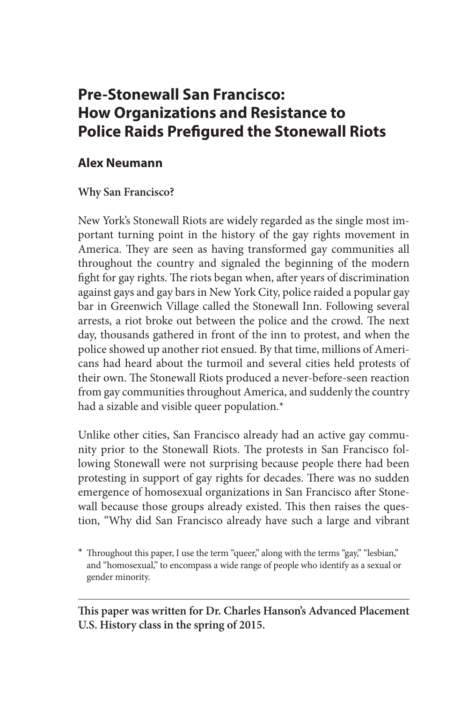# **Pre-Stonewall San Francisco: How Organizations and Resistance to Police Raids Prefigured the Stonewall Riots**

## **Alex Neumann**

### **Why San Francisco?**

New York's Stonewall Riots are widely regarded as the single most important turning point in the history of the gay rights movement in America. They are seen as having transformed gay communities all throughout the country and signaled the beginning of the modern fight for gay rights. The riots began when, after years of discrimination against gays and gay bars in New York City, police raided a popular gay bar in Greenwich Village called the Stonewall Inn. Following several arrests, a riot broke out between the police and the crowd. The next day, thousands gathered in front of the inn to protest, and when the police showed up another riot ensued. By that time, millions of Americans had heard about the turmoil and several cities held protests of their own. The Stonewall Riots produced a never-before-seen reaction from gay communities throughout America, and suddenly the country had a sizable and visible queer population.\*

Unlike other cities, San Francisco already had an active gay community prior to the Stonewall Riots. The protests in San Francisco following Stonewall were not surprising because people there had been protesting in support of gay rights for decades. There was no sudden emergence of homosexual organizations in San Francisco after Stonewall because those groups already existed. This then raises the question, "Why did San Francisco already have such a large and vibrant

**This paper was written for Dr. Charles Hanson's Advanced Placement U.S. History class in the spring of 2015.**

<sup>\*</sup> Throughout this paper, I use the term "queer," along with the terms "gay," "lesbian," and "homosexual," to encompass a wide range of people who identify as a sexual or gender minority.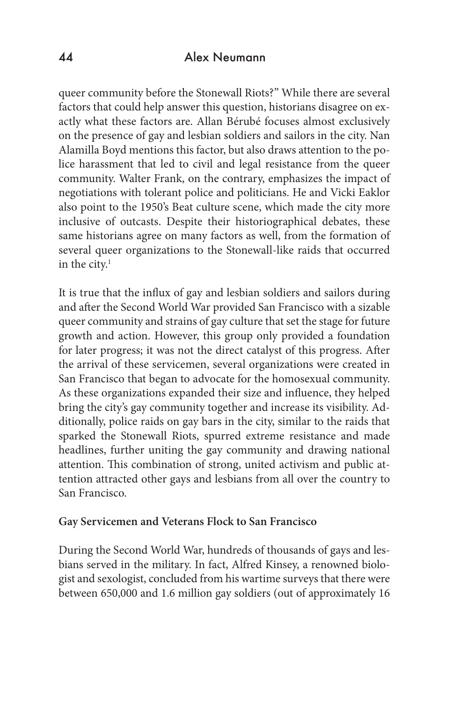queer community before the Stonewall Riots?" While there are several factors that could help answer this question, historians disagree on exactly what these factors are. Allan Bérubé focuses almost exclusively on the presence of gay and lesbian soldiers and sailors in the city. Nan Alamilla Boyd mentions this factor, but also draws attention to the police harassment that led to civil and legal resistance from the queer community. Walter Frank, on the contrary, emphasizes the impact of negotiations with tolerant police and politicians. He and Vicki Eaklor also point to the 1950's Beat culture scene, which made the city more inclusive of outcasts. Despite their historiographical debates, these same historians agree on many factors as well, from the formation of several queer organizations to the Stonewall-like raids that occurred in the city. $<sup>1</sup>$ </sup>

It is true that the influx of gay and lesbian soldiers and sailors during and after the Second World War provided San Francisco with a sizable queer community and strains of gay culture that set the stage for future growth and action. However, this group only provided a foundation for later progress; it was not the direct catalyst of this progress. After the arrival of these servicemen, several organizations were created in San Francisco that began to advocate for the homosexual community. As these organizations expanded their size and influence, they helped bring the city's gay community together and increase its visibility. Additionally, police raids on gay bars in the city, similar to the raids that sparked the Stonewall Riots, spurred extreme resistance and made headlines, further uniting the gay community and drawing national attention. This combination of strong, united activism and public attention attracted other gays and lesbians from all over the country to San Francisco.

#### **Gay Servicemen and Veterans Flock to San Francisco**

During the Second World War, hundreds of thousands of gays and lesbians served in the military. In fact, Alfred Kinsey, a renowned biologist and sexologist, concluded from his wartime surveys that there were between 650,000 and 1.6 million gay soldiers (out of approximately 16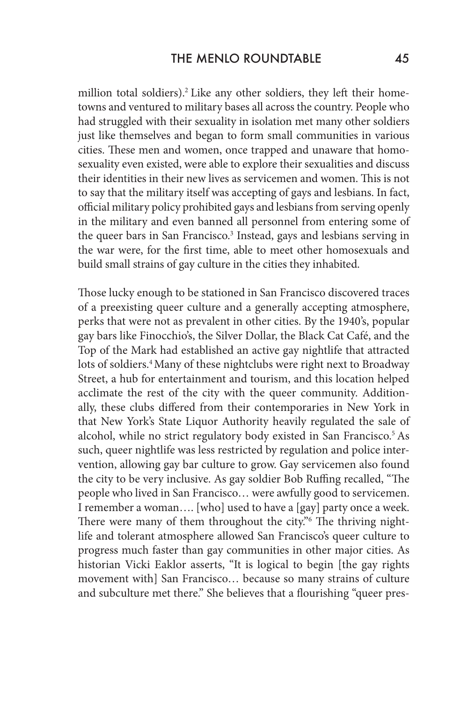million total soldiers).<sup>2</sup> Like any other soldiers, they left their hometowns and ventured to military bases all across the country. People who had struggled with their sexuality in isolation met many other soldiers just like themselves and began to form small communities in various cities. These men and women, once trapped and unaware that homosexuality even existed, were able to explore their sexualities and discuss their identities in their new lives as servicemen and women. This is not to say that the military itself was accepting of gays and lesbians. In fact, official military policy prohibited gays and lesbians from serving openly in the military and even banned all personnel from entering some of the queer bars in San Francisco.<sup>3</sup> Instead, gays and lesbians serving in the war were, for the first time, able to meet other homosexuals and build small strains of gay culture in the cities they inhabited.

Those lucky enough to be stationed in San Francisco discovered traces of a preexisting queer culture and a generally accepting atmosphere, perks that were not as prevalent in other cities. By the 1940's, popular gay bars like Finocchio's, the Silver Dollar, the Black Cat Café, and the Top of the Mark had established an active gay nightlife that attracted lots of soldiers.<sup>4</sup> Many of these nightclubs were right next to Broadway Street, a hub for entertainment and tourism, and this location helped acclimate the rest of the city with the queer community. Additionally, these clubs differed from their contemporaries in New York in that New York's State Liquor Authority heavily regulated the sale of alcohol, while no strict regulatory body existed in San Francisco.<sup>5</sup> As such, queer nightlife was less restricted by regulation and police intervention, allowing gay bar culture to grow. Gay servicemen also found the city to be very inclusive. As gay soldier Bob Ruffing recalled, "The people who lived in San Francisco… were awfully good to servicemen. I remember a woman…. [who] used to have a [gay] party once a week. There were many of them throughout the city."<sup>6</sup> The thriving nightlife and tolerant atmosphere allowed San Francisco's queer culture to progress much faster than gay communities in other major cities. As historian Vicki Eaklor asserts, "It is logical to begin [the gay rights movement with] San Francisco… because so many strains of culture and subculture met there." She believes that a flourishing "queer pres-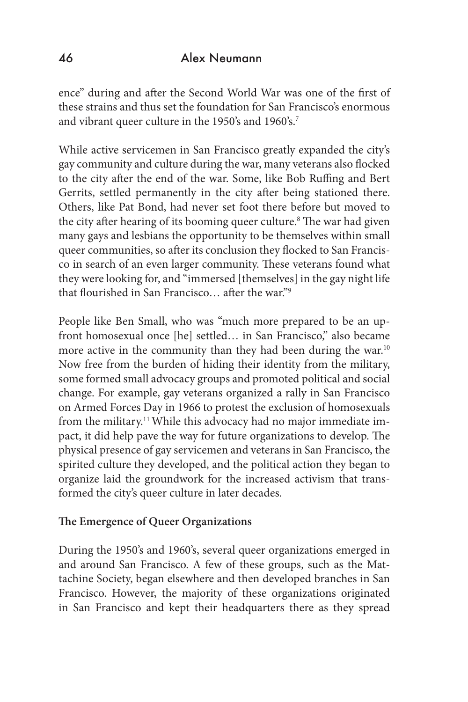ence" during and after the Second World War was one of the first of these strains and thus set the foundation for San Francisco's enormous and vibrant queer culture in the 1950's and 1960's.7

While active servicemen in San Francisco greatly expanded the city's gay community and culture during the war, many veterans also flocked to the city after the end of the war. Some, like Bob Ruffing and Bert Gerrits, settled permanently in the city after being stationed there. Others, like Pat Bond, had never set foot there before but moved to the city after hearing of its booming queer culture.<sup>8</sup> The war had given many gays and lesbians the opportunity to be themselves within small queer communities, so after its conclusion they flocked to San Francisco in search of an even larger community. These veterans found what they were looking for, and "immersed [themselves] in the gay night life that flourished in San Francisco… after the war."9

People like Ben Small, who was "much more prepared to be an upfront homosexual once [he] settled… in San Francisco," also became more active in the community than they had been during the war.<sup>10</sup> Now free from the burden of hiding their identity from the military, some formed small advocacy groups and promoted political and social change. For example, gay veterans organized a rally in San Francisco on Armed Forces Day in 1966 to protest the exclusion of homosexuals from the military.11 While this advocacy had no major immediate impact, it did help pave the way for future organizations to develop. The physical presence of gay servicemen and veterans in San Francisco, the spirited culture they developed, and the political action they began to organize laid the groundwork for the increased activism that transformed the city's queer culture in later decades.

## **The Emergence of Queer Organizations**

During the 1950's and 1960's, several queer organizations emerged in and around San Francisco. A few of these groups, such as the Mattachine Society, began elsewhere and then developed branches in San Francisco. However, the majority of these organizations originated in San Francisco and kept their headquarters there as they spread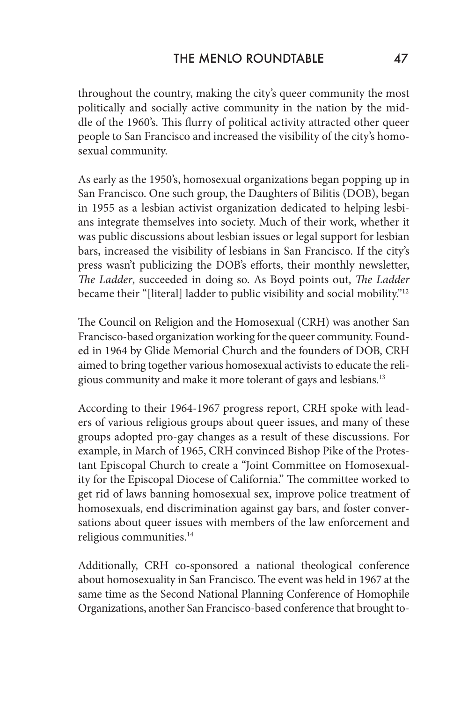throughout the country, making the city's queer community the most politically and socially active community in the nation by the middle of the 1960's. This flurry of political activity attracted other queer people to San Francisco and increased the visibility of the city's homosexual community.

As early as the 1950's, homosexual organizations began popping up in San Francisco. One such group, the Daughters of Bilitis (DOB), began in 1955 as a lesbian activist organization dedicated to helping lesbians integrate themselves into society. Much of their work, whether it was public discussions about lesbian issues or legal support for lesbian bars, increased the visibility of lesbians in San Francisco. If the city's press wasn't publicizing the DOB's efforts, their monthly newsletter, *The Ladder*, succeeded in doing so. As Boyd points out, *The Ladder*  became their "[literal] ladder to public visibility and social mobility."12

The Council on Religion and the Homosexual (CRH) was another San Francisco-based organization working for the queer community. Founded in 1964 by Glide Memorial Church and the founders of DOB, CRH aimed to bring together various homosexual activists to educate the religious community and make it more tolerant of gays and lesbians.13

According to their 1964-1967 progress report, CRH spoke with leaders of various religious groups about queer issues, and many of these groups adopted pro-gay changes as a result of these discussions. For example, in March of 1965, CRH convinced Bishop Pike of the Protestant Episcopal Church to create a "Joint Committee on Homosexuality for the Episcopal Diocese of California." The committee worked to get rid of laws banning homosexual sex, improve police treatment of homosexuals, end discrimination against gay bars, and foster conversations about queer issues with members of the law enforcement and religious communities.<sup>14</sup>

Additionally, CRH co-sponsored a national theological conference about homosexuality in San Francisco. The event was held in 1967 at the same time as the Second National Planning Conference of Homophile Organizations, another San Francisco-based conference that brought to-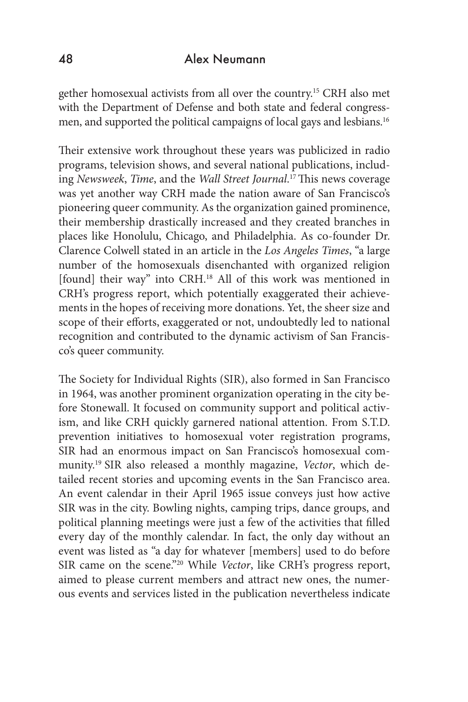gether homosexual activists from all over the country.15 CRH also met with the Department of Defense and both state and federal congressmen, and supported the political campaigns of local gays and lesbians.16

Their extensive work throughout these years was publicized in radio programs, television shows, and several national publications, including *Newsweek*, *Time*, and the *Wall Street Journal*. 17 This news coverage was yet another way CRH made the nation aware of San Francisco's pioneering queer community. As the organization gained prominence, their membership drastically increased and they created branches in places like Honolulu, Chicago, and Philadelphia. As co-founder Dr. Clarence Colwell stated in an article in the *Los Angeles Times*, "a large number of the homosexuals disenchanted with organized religion [found] their way" into CRH.<sup>18</sup> All of this work was mentioned in CRH's progress report, which potentially exaggerated their achievements in the hopes of receiving more donations. Yet, the sheer size and scope of their efforts, exaggerated or not, undoubtedly led to national recognition and contributed to the dynamic activism of San Francisco's queer community.

The Society for Individual Rights (SIR), also formed in San Francisco in 1964, was another prominent organization operating in the city before Stonewall. It focused on community support and political activism, and like CRH quickly garnered national attention. From S.T.D. prevention initiatives to homosexual voter registration programs, SIR had an enormous impact on San Francisco's homosexual community.19 SIR also released a monthly magazine, *Vector*, which detailed recent stories and upcoming events in the San Francisco area. An event calendar in their April 1965 issue conveys just how active SIR was in the city. Bowling nights, camping trips, dance groups, and political planning meetings were just a few of the activities that filled every day of the monthly calendar. In fact, the only day without an event was listed as "a day for whatever [members] used to do before SIR came on the scene."20 While *Vector*, like CRH's progress report, aimed to please current members and attract new ones, the numerous events and services listed in the publication nevertheless indicate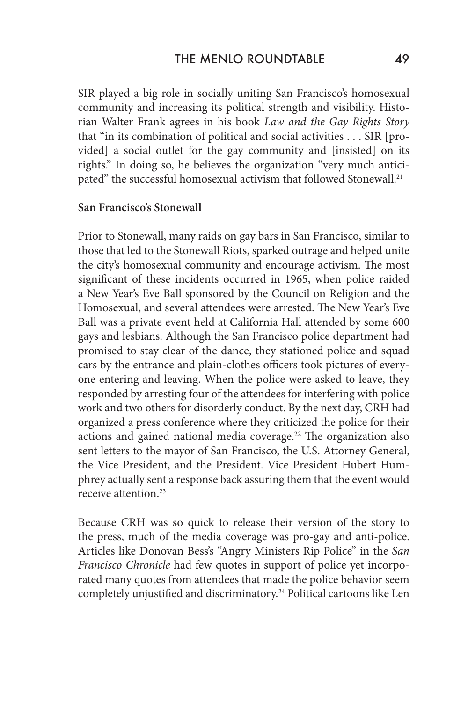SIR played a big role in socially uniting San Francisco's homosexual community and increasing its political strength and visibility. Historian Walter Frank agrees in his book *Law and the Gay Rights Story* that "in its combination of political and social activities . . . SIR [provided] a social outlet for the gay community and [insisted] on its rights." In doing so, he believes the organization "very much anticipated" the successful homosexual activism that followed Stonewall.<sup>21</sup>

#### **San Francisco's Stonewall**

Prior to Stonewall, many raids on gay bars in San Francisco, similar to those that led to the Stonewall Riots, sparked outrage and helped unite the city's homosexual community and encourage activism. The most significant of these incidents occurred in 1965, when police raided a New Year's Eve Ball sponsored by the Council on Religion and the Homosexual, and several attendees were arrested. The New Year's Eve Ball was a private event held at California Hall attended by some 600 gays and lesbians. Although the San Francisco police department had promised to stay clear of the dance, they stationed police and squad cars by the entrance and plain-clothes officers took pictures of everyone entering and leaving. When the police were asked to leave, they responded by arresting four of the attendees for interfering with police work and two others for disorderly conduct. By the next day, CRH had organized a press conference where they criticized the police for their actions and gained national media coverage.<sup>22</sup> The organization also sent letters to the mayor of San Francisco, the U.S. Attorney General, the Vice President, and the President. Vice President Hubert Humphrey actually sent a response back assuring them that the event would receive attention.23

Because CRH was so quick to release their version of the story to the press, much of the media coverage was pro-gay and anti-police. Articles like Donovan Bess's "Angry Ministers Rip Police" in the *San Francisco Chronicle* had few quotes in support of police yet incorporated many quotes from attendees that made the police behavior seem completely unjustified and discriminatory.<sup>24</sup> Political cartoons like Len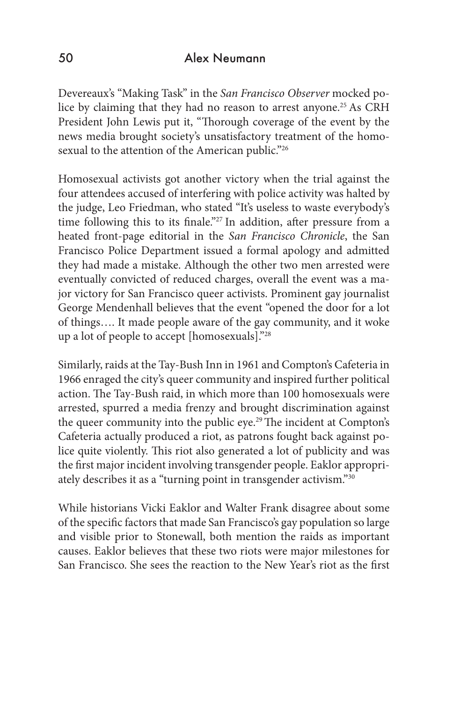Devereaux's "Making Task" in the *San Francisco Observer* mocked police by claiming that they had no reason to arrest anyone.<sup>25</sup> As CRH President John Lewis put it, "Thorough coverage of the event by the news media brought society's unsatisfactory treatment of the homosexual to the attention of the American public."26

Homosexual activists got another victory when the trial against the four attendees accused of interfering with police activity was halted by the judge, Leo Friedman, who stated "It's useless to waste everybody's time following this to its finale."<sup>27</sup> In addition, after pressure from a heated front-page editorial in the *San Francisco Chronicle*, the San Francisco Police Department issued a formal apology and admitted they had made a mistake. Although the other two men arrested were eventually convicted of reduced charges, overall the event was a major victory for San Francisco queer activists. Prominent gay journalist George Mendenhall believes that the event "opened the door for a lot of things…. It made people aware of the gay community, and it woke up a lot of people to accept [homosexuals]."28

Similarly, raids at the Tay-Bush Inn in 1961 and Compton's Cafeteria in 1966 enraged the city's queer community and inspired further political action. The Tay-Bush raid, in which more than 100 homosexuals were arrested, spurred a media frenzy and brought discrimination against the queer community into the public eye.<sup>29</sup> The incident at Compton's Cafeteria actually produced a riot, as patrons fought back against police quite violently. This riot also generated a lot of publicity and was the first major incident involving transgender people. Eaklor appropriately describes it as a "turning point in transgender activism."30

While historians Vicki Eaklor and Walter Frank disagree about some of the specific factors that made San Francisco's gay population so large and visible prior to Stonewall, both mention the raids as important causes. Eaklor believes that these two riots were major milestones for San Francisco. She sees the reaction to the New Year's riot as the first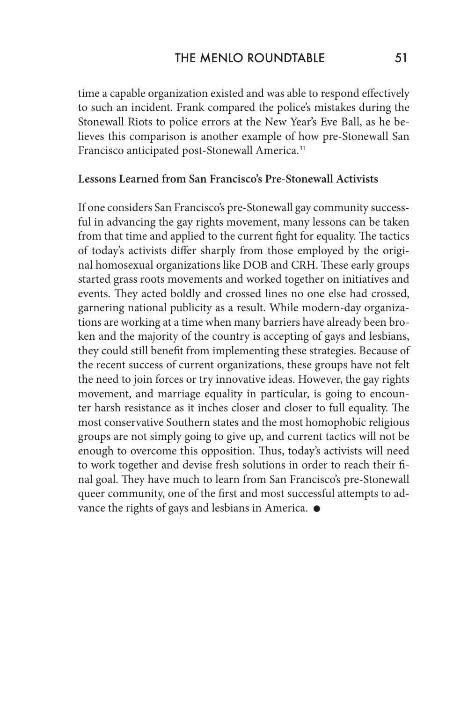time a capable organization existed and was able to respond effectively to such an incident. Frank compared the police's mistakes during the Stonewall Riots to police errors at the New Year's Eve Ball, as he believes this comparison is another example of how pre-Stonewall San Francisco anticipated post-Stonewall America.<sup>31</sup>

#### **Lessons Learned from San Francisco's Pre-Stonewall Activists**

If one considers San Francisco's pre-Stonewall gay community successful in advancing the gay rights movement, many lessons can be taken from that time and applied to the current fight for equality. The tactics of today's activists differ sharply from those employed by the original homosexual organizations like DOB and CRH. These early groups started grass roots movements and worked together on initiatives and events. They acted boldly and crossed lines no one else had crossed, garnering national publicity as a result. While modern-day organizations are working at a time when many barriers have already been broken and the majority of the country is accepting of gays and lesbians, they could still benefit from implementing these strategies. Because of the recent success of current organizations, these groups have not felt the need to join forces or try innovative ideas. However, the gay rights movement, and marriage equality in particular, is going to encounter harsh resistance as it inches closer and closer to full equality. The most conservative Southern states and the most homophobic religious groups are not simply going to give up, and current tactics will not be enough to overcome this opposition. Thus, today's activists will need to work together and devise fresh solutions in order to reach their final goal. They have much to learn from San Francisco's pre-Stonewall queer community, one of the first and most successful attempts to advance the rights of gays and lesbians in America.  $\bullet$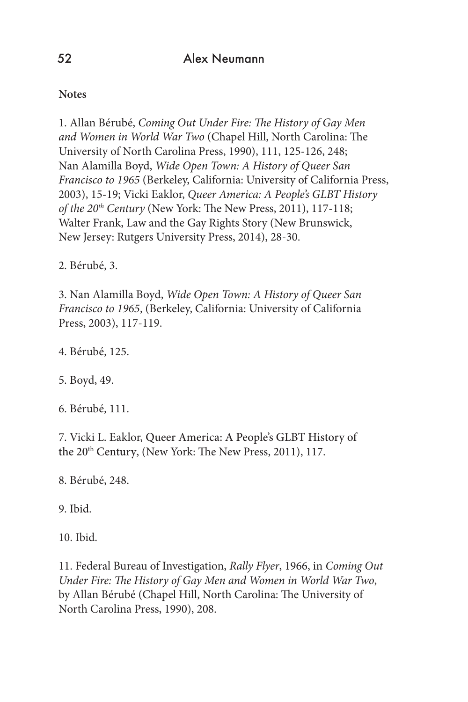## **Notes**

1. Allan Bérubé, *Coming Out Under Fire: The History of Gay Men and Women in World War Two* (Chapel Hill, North Carolina: The University of North Carolina Press, 1990), 111, 125-126, 248; Nan Alamilla Boyd, *Wide Open Town: A History of Queer San Francisco to 1965* (Berkeley, California: University of California Press, 2003), 15-19; Vicki Eaklor, *Queer America: A People's GLBT History of the 20th Century* (New York: The New Press, 2011), 117-118; Walter Frank, Law and the Gay Rights Story (New Brunswick, New Jersey: Rutgers University Press, 2014), 28-30.

2. Bérubé, 3.

3. Nan Alamilla Boyd, *Wide Open Town: A History of Queer San Francisco to 1965*, (Berkeley, California: University of California Press, 2003), 117-119.

4. Bérubé, 125.

5. Boyd, 49.

6. Bérubé, 111.

7. Vicki L. Eaklor, Queer America: A People's GLBT History of the 20<sup>th</sup> Century, (New York: The New Press, 2011), 117.

8. Bérubé, 248.

9. Ibid.

10. Ibid.

11. Federal Bureau of Investigation, *Rally Flyer*, 1966, in *Coming Out Under Fire: The History of Gay Men and Women in World War Two*, by Allan Bérubé (Chapel Hill, North Carolina: The University of North Carolina Press, 1990), 208.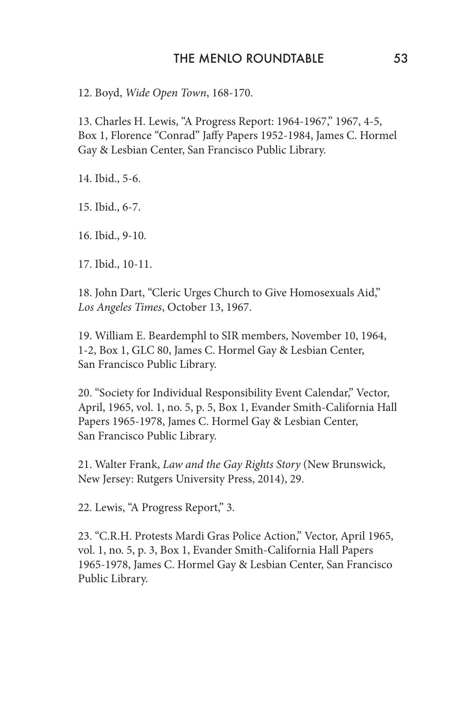#### THE MENLO ROUNDTABLE 53

12. Boyd, *Wide Open Town*, 168-170.

13. Charles H. Lewis, "A Progress Report: 1964-1967," 1967, 4-5, Box 1, Florence "Conrad" Jaffy Papers 1952-1984, James C. Hormel Gay & Lesbian Center, San Francisco Public Library.

14. Ibid., 5-6.

15. Ibid., 6-7.

16. Ibid., 9-10.

17. Ibid., 10-11.

18. John Dart, "Cleric Urges Church to Give Homosexuals Aid," *Los Angeles Times*, October 13, 1967.

19. William E. Beardemphl to SIR members, November 10, 1964, 1-2, Box 1, GLC 80, James C. Hormel Gay & Lesbian Center, San Francisco Public Library.

20. "Society for Individual Responsibility Event Calendar," Vector, April, 1965, vol. 1, no. 5, p. 5, Box 1, Evander Smith-California Hall Papers 1965-1978, James C. Hormel Gay & Lesbian Center, San Francisco Public Library.

21. Walter Frank, *Law and the Gay Rights Story* (New Brunswick, New Jersey: Rutgers University Press, 2014), 29.

22. Lewis, "A Progress Report," 3.

23. "C.R.H. Protests Mardi Gras Police Action," Vector, April 1965, vol. 1, no. 5, p. 3, Box 1, Evander Smith-California Hall Papers 1965-1978, James C. Hormel Gay & Lesbian Center, San Francisco Public Library.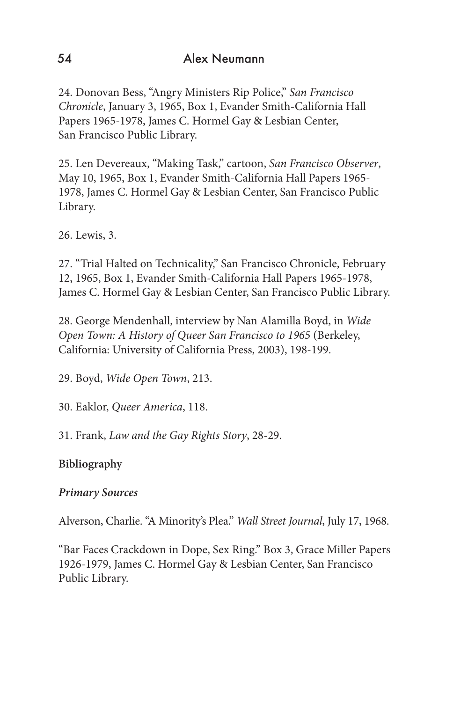24. Donovan Bess, "Angry Ministers Rip Police," *San Francisco Chronicle*, January 3, 1965, Box 1, Evander Smith-California Hall Papers 1965-1978, James C. Hormel Gay & Lesbian Center, San Francisco Public Library.

25. Len Devereaux, "Making Task," cartoon, *San Francisco Observer*, May 10, 1965, Box 1, Evander Smith-California Hall Papers 1965- 1978, James C. Hormel Gay & Lesbian Center, San Francisco Public Library.

26. Lewis, 3.

27. "Trial Halted on Technicality," San Francisco Chronicle, February 12, 1965, Box 1, Evander Smith-California Hall Papers 1965-1978, James C. Hormel Gay & Lesbian Center, San Francisco Public Library.

28. George Mendenhall, interview by Nan Alamilla Boyd, in *Wide Open Town: A History of Queer San Francisco to 1965* (Berkeley, California: University of California Press, 2003), 198-199.

29. Boyd, *Wide Open Town*, 213.

30. Eaklor, *Queer America*, 118.

31. Frank, *Law and the Gay Rights Story*, 28-29.

## **Bibliography**

## *Primary Sources*

Alverson, Charlie. "A Minority's Plea." *Wall Street Journal*, July 17, 1968.

"Bar Faces Crackdown in Dope, Sex Ring." Box 3, Grace Miller Papers 1926-1979, James C. Hormel Gay & Lesbian Center, San Francisco Public Library.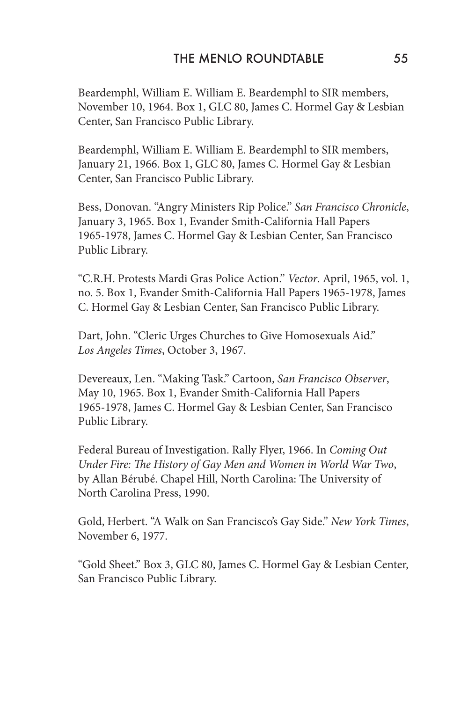Beardemphl, William E. William E. Beardemphl to SIR members, November 10, 1964. Box 1, GLC 80, James C. Hormel Gay & Lesbian Center, San Francisco Public Library.

Beardemphl, William E. William E. Beardemphl to SIR members, January 21, 1966. Box 1, GLC 80, James C. Hormel Gay & Lesbian Center, San Francisco Public Library.

Bess, Donovan. "Angry Ministers Rip Police." *San Francisco Chronicle*, January 3, 1965. Box 1, Evander Smith-California Hall Papers 1965-1978, James C. Hormel Gay & Lesbian Center, San Francisco Public Library.

"C.R.H. Protests Mardi Gras Police Action." *Vector*. April, 1965, vol. 1, no. 5. Box 1, Evander Smith-California Hall Papers 1965-1978, James C. Hormel Gay & Lesbian Center, San Francisco Public Library.

Dart, John. "Cleric Urges Churches to Give Homosexuals Aid." *Los Angeles Times*, October 3, 1967.

Devereaux, Len. "Making Task." Cartoon, *San Francisco Observer*, May 10, 1965. Box 1, Evander Smith-California Hall Papers 1965-1978, James C. Hormel Gay & Lesbian Center, San Francisco Public Library.

Federal Bureau of Investigation. Rally Flyer, 1966. In *Coming Out Under Fire: The History of Gay Men and Women in World War Two*, by Allan Bérubé. Chapel Hill, North Carolina: The University of North Carolina Press, 1990.

Gold, Herbert. "A Walk on San Francisco's Gay Side." *New York Times*, November 6, 1977.

"Gold Sheet." Box 3, GLC 80, James C. Hormel Gay & Lesbian Center, San Francisco Public Library.